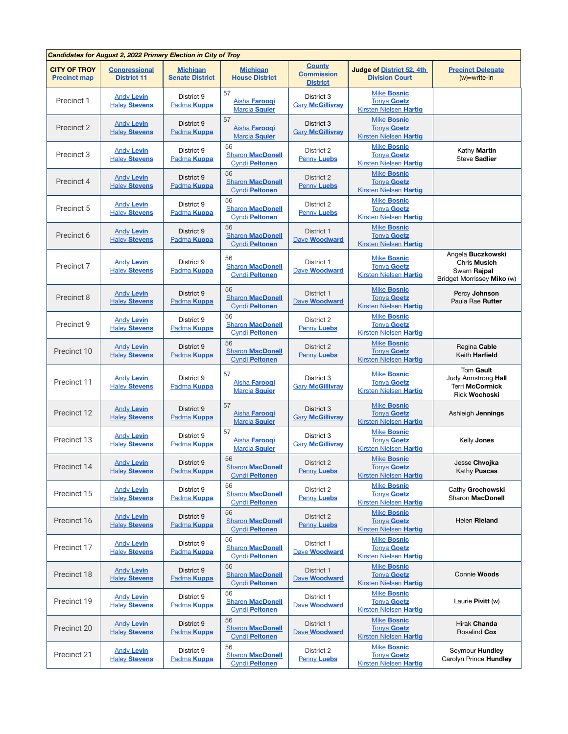| Candidates for August 2, 2022 Primary Election in City of Troy |                                            |                                           |                                                        |                                                       |                                                                           |                                                                                 |  |  |  |
|----------------------------------------------------------------|--------------------------------------------|-------------------------------------------|--------------------------------------------------------|-------------------------------------------------------|---------------------------------------------------------------------------|---------------------------------------------------------------------------------|--|--|--|
| <b>CITY OF TROY</b><br><b>Precinct map</b>                     | <b>Congressional</b><br><b>District 11</b> | <b>Michigan</b><br><b>Senate District</b> | <b>Michigan</b><br><b>House District</b>               | <b>County</b><br><b>Commission</b><br><b>District</b> | <b>Judge of District 52, 4th</b><br><b>Division Court</b>                 | <b>Precinct Delegate</b><br>$(w)$ =write-in                                     |  |  |  |
| Precinct 1                                                     | <b>Andy Levin</b><br><b>Haley Stevens</b>  | District 9<br>Padma <b>Kuppa</b>          | 57<br>Aisha Farooqi<br>Marcia Squier                   | District 3<br><b>Gary McGillivray</b>                 | <b>Mike Bosnic</b><br><b>Tonya Goetz</b><br><b>Kirsten Nielsen Hartig</b> |                                                                                 |  |  |  |
| Precinct 2                                                     | <b>Andy Levin</b><br><b>Haley Stevens</b>  | District 9<br>Padma <b>Kuppa</b>          | 57<br>Aisha Farooqi<br><b>Marcia Squier</b>            | District 3<br><b>Gary McGillivray</b>                 | <b>Mike Bosnic</b><br><b>Tonya Goetz</b><br><b>Kirsten Nielsen Hartig</b> |                                                                                 |  |  |  |
| Precinct 3                                                     | <b>Andy Levin</b><br><b>Haley Stevens</b>  | District 9<br>Padma <b>Kuppa</b>          | 56<br><b>Sharon MacDonell</b><br><b>Cyndi Peltonen</b> | District 2<br><b>Penny Luebs</b>                      | <b>Mike Bosnic</b><br><b>Tonya Goetz</b><br><b>Kirsten Nielsen Hartig</b> | Kathy Martin<br>Steve Sadlier                                                   |  |  |  |
| Precinct 4                                                     | <b>Andy Levin</b><br><b>Haley Stevens</b>  | District 9<br>Padma <b>Kuppa</b>          | 56<br><b>Sharon MacDonell</b><br><b>Cyndi Peltonen</b> | District 2<br><b>Penny Luebs</b>                      | <b>Mike Bosnic</b><br><b>Tonya Goetz</b><br><b>Kirsten Nielsen Hartig</b> |                                                                                 |  |  |  |
| Precinct 5                                                     | <b>Andy Levin</b><br><b>Haley Stevens</b>  | District 9<br>Padma <b>Kuppa</b>          | 56<br><b>Sharon MacDonell</b><br><b>Cyndi Peltonen</b> | District 2<br>Penny Luebs                             | <b>Mike Bosnic</b><br><b>Tonya Goetz</b><br><b>Kirsten Nielsen Hartig</b> |                                                                                 |  |  |  |
| Precinct 6                                                     | <b>Andy Levin</b><br><b>Haley Stevens</b>  | District 9<br>Padma <b>Kuppa</b>          | 56<br><b>Sharon MacDonell</b><br><b>Cyndi Peltonen</b> | District 1<br><b>Dave Woodward</b>                    | <b>Mike Bosnic</b><br><b>Tonya Goetz</b><br><b>Kirsten Nielsen Hartig</b> |                                                                                 |  |  |  |
| Precinct 7                                                     | <b>Andy Levin</b><br><b>Haley Stevens</b>  | District 9<br>Padma <b>Kuppa</b>          | 56<br><b>Sharon MacDonell</b><br><b>Cyndi Peltonen</b> | District 1<br>Dave Woodward                           | <b>Mike Bosnic</b><br><b>Tonva Goetz</b><br><b>Kirsten Nielsen Hartig</b> | Angela Buczkowski<br>Chris Musich<br>Swarn Rajpal<br>Bridget Morrissey Miko (w) |  |  |  |
| Precinct 8                                                     | <b>Andy Levin</b><br><b>Haley Stevens</b>  | District 9<br>Padma <b>Kuppa</b>          | 56<br><b>Sharon MacDonell</b><br><b>Cyndi Peltonen</b> | District 1<br>Dave Woodward                           | <b>Mike Bosnic</b><br><b>Tonya Goetz</b><br><b>Kirsten Nielsen Hartig</b> | Percy Johnson<br>Paula Rae Rutter                                               |  |  |  |
| Precinct 9                                                     | <b>Andy Levin</b><br><b>Haley Stevens</b>  | District 9<br>Padma <b>Kuppa</b>          | 56<br><b>Sharon MacDonell</b><br><b>Cyndi Peltonen</b> | District 2<br><b>Penny Luebs</b>                      | <b>Mike Bosnic</b><br><b>Tonya Goetz</b><br><b>Kirsten Nielsen Hartig</b> |                                                                                 |  |  |  |
| Precinct 10                                                    | <b>Andy Levin</b><br><b>Haley Stevens</b>  | District 9<br>Padma <b>Kuppa</b>          | 56<br><b>Sharon MacDonell</b><br>Cyndi Peltonen        | District 2<br><b>Penny Luebs</b>                      | <b>Mike Bosnic</b><br><b>Tonya Goetz</b><br><b>Kirsten Nielsen Hartig</b> | Regina Cable<br>Keith Harfield                                                  |  |  |  |
| Precinct 11                                                    | <b>Andy Levin</b><br><b>Haley Stevens</b>  | District 9<br>Padma <b>Kuppa</b>          | 57<br>Aisha Farooqi<br>Marcia Squier                   | District 3<br><b>Gary McGillivray</b>                 | <b>Mike Bosnic</b><br><b>Tonya Goetz</b><br><b>Kirsten Nielsen Hartig</b> | Tom Gault<br>Judy Armstrong Hall<br>Terri McCormick<br><b>Rick Wochoski</b>     |  |  |  |
| Precinct 12                                                    | <b>Andy Levin</b><br><b>Haley Stevens</b>  | District 9<br>Padma <b>Kuppa</b>          | 57<br>Aisha Farooqi<br>Marcia Squier                   | District 3<br><b>Gary McGillivray</b>                 | <b>Mike Bosnic</b><br><b>Tonya Goetz</b><br><b>Kirsten Nielsen Hartig</b> | Ashleigh Jennings                                                               |  |  |  |
| Precinct 13                                                    | <b>Andy Levin</b><br><b>Haley Stevens</b>  | District 9<br>Padma <b>Kuppa</b>          | 57<br>Aisha Faroogi<br>Marcia Squier                   | District 3<br><b>Gary McGillivray</b>                 | Mike Bosnic<br><b>Tonya Goetz</b><br><b>Kirsten Nielsen Hartig</b>        | Kelly Jones                                                                     |  |  |  |
| Precinct 14                                                    | <b>Andy Levin</b><br><b>Haley Stevens</b>  | District 9<br>Padma <b>Kuppa</b>          | 56<br><b>Sharon MacDonell</b><br><b>Cyndi Peltonen</b> | District 2<br><b>Penny Luebs</b>                      | <b>Mike Bosnic</b><br><b>Tonya Goetz</b><br><b>Kirsten Nielsen Hartig</b> | Jesse Chvojka<br>Kathy Puscas                                                   |  |  |  |
| Precinct 15                                                    | <b>Andy Levin</b><br><b>Haley Stevens</b>  | District 9<br>Padma <b>Kuppa</b>          | 56<br><b>Sharon MacDonell</b><br><b>Cyndi Peltonen</b> | District 2<br><b>Penny Luebs</b>                      | <b>Mike Bosnic</b><br><b>Tonya Goetz</b><br><b>Kirsten Nielsen Hartig</b> | Cathy Grochowski<br>Sharon MacDonell                                            |  |  |  |
| Precinct 16                                                    | <b>Andy Levin</b><br><b>Haley Stevens</b>  | District 9<br>Padma <b>Kuppa</b>          | 56<br><b>Sharon MacDonell</b><br><b>Cyndi Peltonen</b> | District 2<br><b>Penny Luebs</b>                      | <b>Mike Bosnic</b><br><b>Tonya Goetz</b><br><b>Kirsten Nielsen Hartig</b> | Helen Rieland                                                                   |  |  |  |
| Precinct 17                                                    | <b>Andy Levin</b><br><b>Haley Stevens</b>  | District 9<br>Padma <b>Kuppa</b>          | 56<br><b>Sharon MacDonell</b><br><b>Cyndi Peltonen</b> | District 1<br>Dave Woodward                           | <b>Mike Bosnic</b><br><b>Tonya Goetz</b><br><b>Kirsten Nielsen Hartig</b> |                                                                                 |  |  |  |
| Precinct 18                                                    | <b>Andy Levin</b><br><b>Haley Stevens</b>  | District 9<br>Padma <b>Kuppa</b>          | 56<br><b>Sharon MacDonell</b><br><b>Cyndi Peltonen</b> | District 1<br>Dave Woodward                           | <b>Mike Bosnic</b><br><b>Tonya Goetz</b><br><b>Kirsten Nielsen Hartig</b> | Connie Woods                                                                    |  |  |  |
| Precinct 19                                                    | <b>Andy Levin</b><br><b>Haley Stevens</b>  | District 9<br>Padma <b>Kuppa</b>          | 56<br><b>Sharon MacDonell</b><br><b>Cyndi Peltonen</b> | District 1<br>Dave Woodward                           | <b>Mike Bosnic</b><br><b>Tonya Goetz</b><br><b>Kirsten Nielsen Hartig</b> | Laurie Pivitt (w)                                                               |  |  |  |
| Precinct 20                                                    | <b>Andy Levin</b><br><b>Haley Stevens</b>  | District 9<br>Padma <b>Kuppa</b>          | 56<br><b>Sharon MacDonell</b><br><b>Cyndi Peltonen</b> | District 1<br><b>Dave Woodward</b>                    | <b>Mike Bosnic</b><br><b>Tonya Goetz</b><br><b>Kirsten Nielsen Hartig</b> | Hirak Chanda<br>Rosalind Cox                                                    |  |  |  |
| Precinct 21                                                    | <b>Andy Levin</b><br><b>Haley Stevens</b>  | District 9<br>Padma <b>Kuppa</b>          | 56<br><b>Sharon MacDonell</b><br><b>Cyndi Peltonen</b> | District 2<br>Penny Luebs                             | <b>Mike Bosnic</b><br><b>Tonya Goetz</b><br><b>Kirsten Nielsen Hartig</b> | Seymour Hundley<br>Carolyn Prince Hundley                                       |  |  |  |